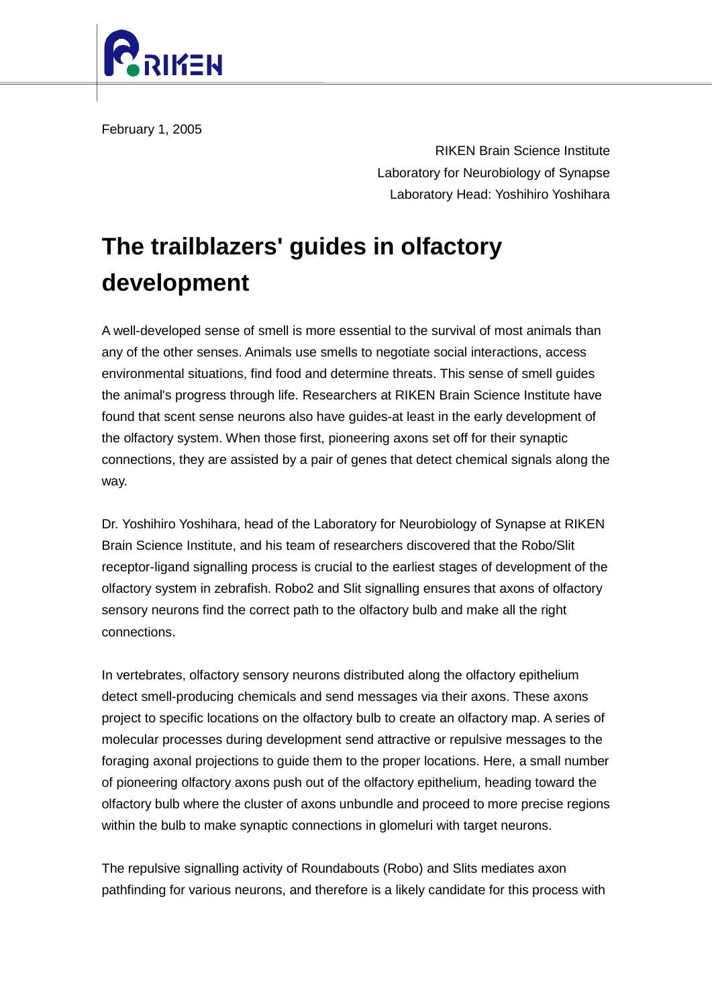

February 1, 2005

RIKEN Brain Science Institute Laboratory for Neurobiology of Synapse Laboratory Head: Yoshihiro Yoshihara

## **The trailblazers' guides in olfactory development**

A well-developed sense of smell is more essential to the survival of most animals than any of the other senses. Animals use smells to negotiate social interactions, access environmental situations, find food and determine threats. This sense of smell guides the animal's progress through life. Researchers at RIKEN Brain Science Institute have found that scent sense neurons also have guides-at least in the early development of the olfactory system. When those first, pioneering axons set off for their synaptic connections, they are assisted by a pair of genes that detect chemical signals along the way.

Dr. Yoshihiro Yoshihara, head of the Laboratory for Neurobiology of Synapse at RIKEN Brain Science Institute, and his team of researchers discovered that the Robo/Slit receptor-ligand signalling process is crucial to the earliest stages of development of the olfactory system in zebrafish. Robo2 and Slit signalling ensures that axons of olfactory sensory neurons find the correct path to the olfactory bulb and make all the right connections.

In vertebrates, olfactory sensory neurons distributed along the olfactory epithelium detect smell-producing chemicals and send messages via their axons. These axons project to specific locations on the olfactory bulb to create an olfactory map. A series of molecular processes during development send attractive or repulsive messages to the foraging axonal projections to guide them to the proper locations. Here, a small number of pioneering olfactory axons push out of the olfactory epithelium, heading toward the olfactory bulb where the cluster of axons unbundle and proceed to more precise regions within the bulb to make synaptic connections in glomeluri with target neurons.

The repulsive signalling activity of Roundabouts (Robo) and Slits mediates axon pathfinding for various neurons, and therefore is a likely candidate for this process with